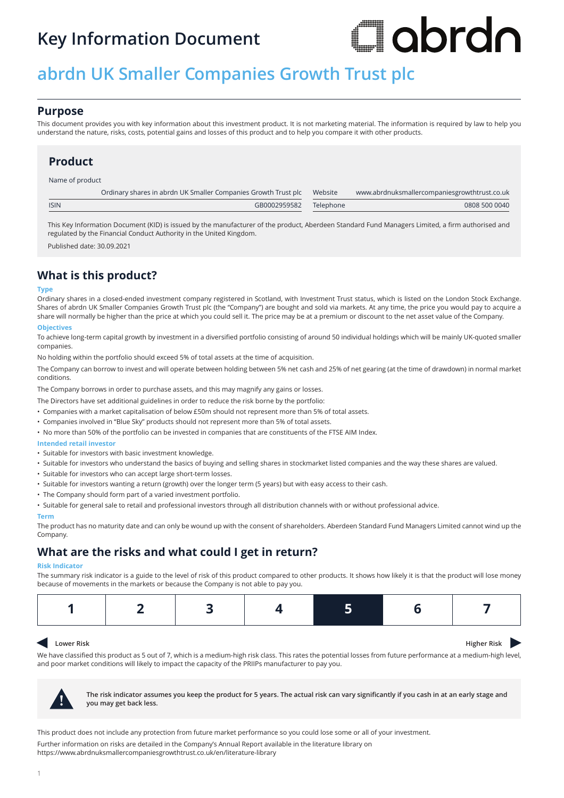## **Key Information Document**

# I abrdn

# **abrdn UK Smaller Companies Growth Trust plc**

## **Purpose**

This document provides you with key information about this investment product. It is not marketing material. The information is required by law to help you understand the nature, risks, costs, potential gains and losses of this product and to help you compare it with other products.

## **Product**

Name of product

|             | Ordinary shares in abrdn UK Smaller Companies Growth Trust plc Website | www.abrdnuksmallercompaniesgrowthtrust.co.uk |
|-------------|------------------------------------------------------------------------|----------------------------------------------|
| <b>ISIN</b> | GB0002959582 Telephone                                                 | 0808 500 0040                                |
|             |                                                                        |                                              |

This Key Information Document (KID) is issued by the manufacturer of the product, Aberdeen Standard Fund Managers Limited, a firm authorised and regulated by the Financial Conduct Authority in the United Kingdom.

Published date: 30.09.2021

## **What is this product?**

#### **Type**

Ordinary shares in a closed-ended investment company registered in Scotland, with Investment Trust status, which is listed on the London Stock Exchange. Shares of abrdn UK Smaller Companies Growth Trust plc (the "Company") are bought and sold via markets. At any time, the price you would pay to acquire a share will normally be higher than the price at which you could sell it. The price may be at a premium or discount to the net asset value of the Company.

#### **Objectives**

To achieve long-term capital growth by investment in a diversified portfolio consisting of around 50 individual holdings which will be mainly UK-quoted smaller companies.

No holding within the portfolio should exceed 5% of total assets at the time of acquisition.

The Company can borrow to invest and will operate between holding between 5% net cash and 25% of net gearing (at the time of drawdown) in normal market conditions.

The Company borrows in order to purchase assets, and this may magnify any gains or losses.

The Directors have set additional guidelines in order to reduce the risk borne by the portfolio:

• Companies with a market capitalisation of below £50m should not represent more than 5% of total assets.

- Companies involved in "Blue Sky" products should not represent more than 5% of total assets.
- No more than 50% of the portfolio can be invested in companies that are constituents of the FTSE AIM Index.

#### **Intended retail investor**

- Suitable for investors with basic investment knowledge.
- Suitable for investors who understand the basics of buying and selling shares in stockmarket listed companies and the way these shares are valued.
- Suitable for investors who can accept large short-term losses.
- Suitable for investors wanting a return (growth) over the longer term (5 years) but with easy access to their cash.
- The Company should form part of a varied investment portfolio.
- Suitable for general sale to retail and professional investors through all distribution channels with or without professional advice.

#### **Term**

The product has no maturity date and can only be wound up with the consent of shareholders. Aberdeen Standard Fund Managers Limited cannot wind up the Company.

## **What are the risks and what could I get in return?**

#### **Risk Indicator**

The summary risk indicator is a guide to the level of risk of this product compared to other products. It shows how likely it is that the product will lose money because of movements in the markets or because the Company is not able to pay you.

|--|

#### $\blacktriangleleft$ **Lower Risk Higher Risk Higher Risk**

We have classified this product as 5 out of 7, which is a medium-high risk class. This rates the potential losses from future performance at a medium-high level, and poor market conditions will likely to impact the capacity of the PRIIPs manufacturer to pay you.



**! The risk indicator assumes you keep the product for 5 years. The actual risk can vary significantly if you cash in at an early stage and you may get back less.**

This product does not include any protection from future market performance so you could lose some or all of your investment. Further information on risks are detailed in the Company's Annual Report available in the literature library on https://www.abrdnuksmallercompaniesgrowthtrust.co.uk/en/literature-library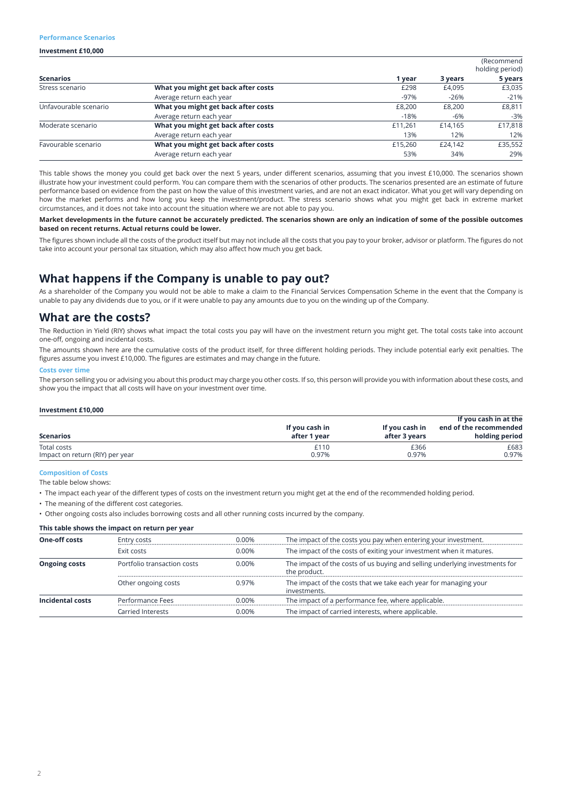#### **Performance Scenarios**

#### **Investment £10,000**

|                       |                                     |         |         | (Recommend<br>holding period) |
|-----------------------|-------------------------------------|---------|---------|-------------------------------|
| <b>Scenarios</b>      |                                     | 1 year  | 3 years | 5 years                       |
| Stress scenario       | What you might get back after costs | £298    | £4,095  | £3,035                        |
|                       | Average return each year            | $-97%$  | $-26%$  | $-21%$                        |
| Unfavourable scenario | What you might get back after costs | £8,200  | £8,200  | £8,811                        |
|                       | Average return each year            | $-18%$  | -6%     | $-3%$                         |
| Moderate scenario     | What you might get back after costs | £11.261 | £14.165 | £17,818                       |
|                       | Average return each year            | 13%     | 12%     | 12%                           |
| Favourable scenario   | What you might get back after costs | £15,260 | £24.142 | £35,552                       |
|                       | Average return each year            | 53%     | 34%     | 29%                           |

This table shows the money you could get back over the next 5 years, under different scenarios, assuming that you invest £10,000. The scenarios shown illustrate how your investment could perform. You can compare them with the scenarios of other products. The scenarios presented are an estimate of future performance based on evidence from the past on how the value of this investment varies, and are not an exact indicator. What you get will vary depending on how the market performs and how long you keep the investment/product. The stress scenario shows what you might get back in extreme market circumstances, and it does not take into account the situation where we are not able to pay you.

**Market developments in the future cannot be accurately predicted. The scenarios shown are only an indication of some of the possible outcomes based on recent returns. Actual returns could be lower.**

The figures shown include all the costs of the product itself but may not include all the costs that you pay to your broker, advisor or platform. The figures do not take into account your personal tax situation, which may also affect how much you get back.

## **What happens if the Company is unable to pay out?**

As a shareholder of the Company you would not be able to make a claim to the Financial Services Compensation Scheme in the event that the Company is unable to pay any dividends due to you, or if it were unable to pay any amounts due to you on the winding up of the Company.

### **What are the costs?**

The Reduction in Yield (RIY) shows what impact the total costs you pay will have on the investment return you might get. The total costs take into account one-off, ongoing and incidental costs.

The amounts shown here are the cumulative costs of the product itself, for three different holding periods. They include potential early exit penalties. The figures assume you invest £10,000. The figures are estimates and may change in the future.

#### **Costs over time**

The person selling you or advising you about this product may charge you other costs. If so, this person will provide you with information about these costs, and show you the impact that all costs will have on your investment over time.

#### **Investment £10,000**

| <b>Scenarios</b>                | If you cash in<br>after 1 year | If you cash in<br>after 3 years | If you cash in at the<br>end of the recommended<br>holding period |
|---------------------------------|--------------------------------|---------------------------------|-------------------------------------------------------------------|
| Total costs                     | £110                           | £366                            | £683                                                              |
| Impact on return (RIY) per year | 0.97%                          | 0.97%                           | 0.97%                                                             |

#### **Composition of Costs**

The table below shows:

• The impact each year of the different types of costs on the investment return you might get at the end of the recommended holding period.

• The meaning of the different cost categories.

• Other ongoing costs also includes borrowing costs and all other running costs incurred by the company.

#### **This table shows the impact on return per year**

| <b>One-off costs</b> | Entry costs                 | 0.00% | The impact of the costs you pay when entering your investment.                              |
|----------------------|-----------------------------|-------|---------------------------------------------------------------------------------------------|
|                      | Exit costs                  | 0.00% | The impact of the costs of exiting your investment when it matures.                         |
| <b>Ongoing costs</b> | Portfolio transaction costs | 0.00% | The impact of the costs of us buying and selling underlying investments for<br>the product. |
|                      | Other ongoing costs         | 0.97% | The impact of the costs that we take each year for managing your<br>investments.            |
| Incidental costs     | Performance Fees            | 0.00% | The impact of a performance fee, where applicable.                                          |
|                      | Carried Interests           | 0.00% | The impact of carried interests, where applicable.                                          |